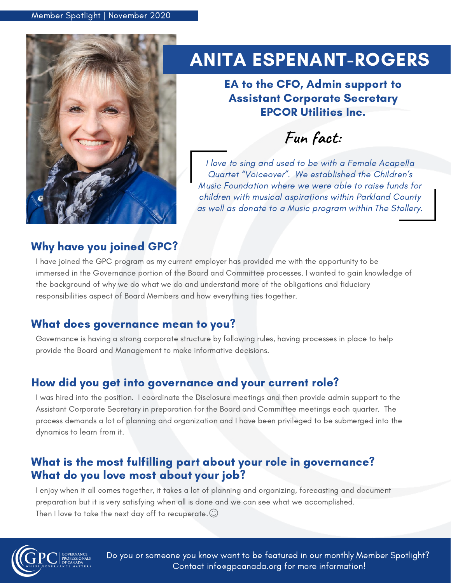

# ANITA ESPENANT-ROGERS

EA to the CFO, Admin support to Assistant Corporate Secretary EPCOR Utilities Inc.

**Fun fact:**

I love to sing and used to be with a Female Acapella Quartet "Voiceover". We established the Children's Music Foundation where we were able to raise funds for children with musical aspirations within Parkland County as well as donate to a Music program within The Stollery.

### Why have you joined GPC?

I have joined the GPC program as my current employer has provided me with the opportunity to be immersed in the Governance portion of the Board and Committee processes. I wanted to gain knowledge of the background of why we do what we do and understand more of the obligations and fiduciary responsibilities aspect of Board Members and how everything ties together.

## What does governance mean to you?

Governance is having a strong corporate structure by following rules, having processes in place to help provide the Board and Management to make informative decisions.

## How did you get into governance and your current role?

I was hired into the position. I coordinate the Disclosure meetings and then provide admin support to the Assistant Corporate Secretary in preparation for the Board and Committee meetings each quarter. The process demands a lot of planning and organization and I have been privileged to be submerged into the dynamics to learn from it.

## What is the most fulfilling part about your role in governance? What do you love most about your job?

I enjoy when it all comes together, it takes a lot of planning and organizing, forecasting and document preparation but it is very satisfying when all is done and we can see what we accomplished. Then I love to take the next day off to recuperate.  $\odot$ 



Do you or someone you know want to be featured in our monthly Member Spotlight? Contact info@gpcanada.org for more information!